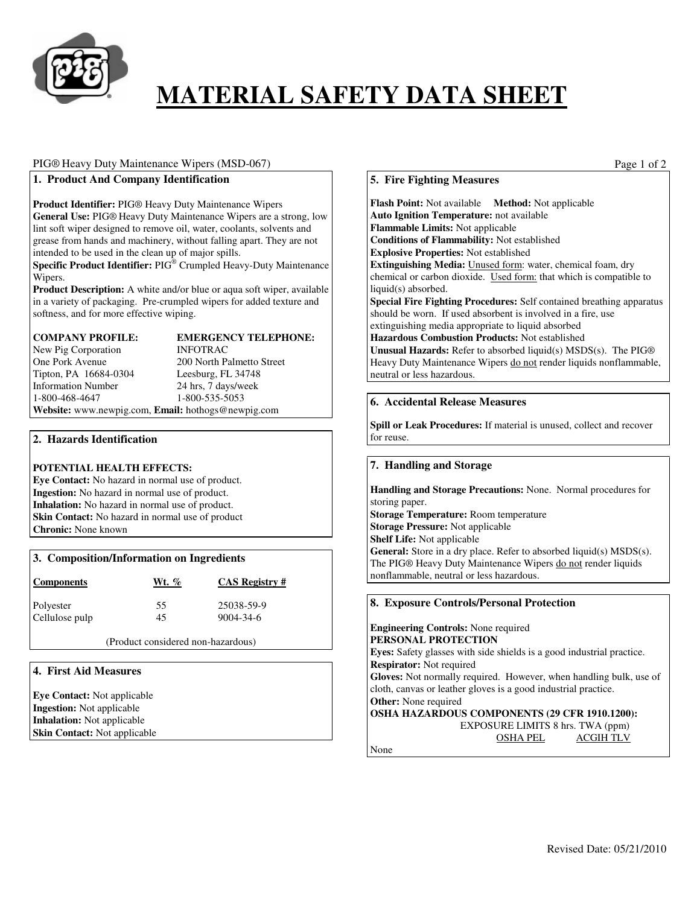

# **MATERIAL SAFETY DATA SHEET**

### PIG® Heavy Duty Maintenance Wipers (MSD-067)

### **1. Product And Company Identification**

#### **Product Identifier:** PIG® Heavy Duty Maintenance Wipers

**General Use:** PIG® Heavy Duty Maintenance Wipers are a strong, low lint soft wiper designed to remove oil, water, coolants, solvents and grease from hands and machinery, without falling apart. They are not intended to be used in the clean up of major spills.

**Specific Product Identifier:** PIG® Crumpled Heavy-Duty Maintenance Wipers.

**Product Description:** A white and/or blue or aqua soft wiper, available in a variety of packaging. Pre-crumpled wipers for added texture and softness, and for more effective wiping.

# **COMPANY PROFILE: EMERGENCY TELEPHONE:**  New Pig Corporation INFOTRAC One Pork Avenue 200 North Palmetto Street Tipton, PA 16684-0304 Leesburg, FL 34748 Information Number 24 hrs, 7 days/week<br>1-800-468-4647 1-800-535-5053

1-800-535-5053 **Website:** www.newpig.com, **Email:** hothogs@newpig.com

**2. Hazards Identification** 

### **POTENTIAL HEALTH EFFECTS:**

**Eye Contact:** No hazard in normal use of product. **Ingestion:** No hazard in normal use of product. **Inhalation:** No hazard in normal use of product. **Skin Contact:** No hazard in normal use of product **Chronic:** None known

| 3. Composition/Information on Ingredients |  |  |  |
|-------------------------------------------|--|--|--|
|-------------------------------------------|--|--|--|

| <b>Components</b> | Wt. % | <b>CAS Registry #</b> |
|-------------------|-------|-----------------------|
| Polyester         | 55    | 25038-59-9            |
| Cellulose pulp    | 45    | $9004 - 34 - 6$       |

(Product considered non-hazardous)

### **4. First Aid Measures**

**Eye Contact:** Not applicable **Ingestion:** Not applicable **Inhalation:** Not applicable **Skin Contact:** Not applicable Page 1 of 2

### **5. Fire Fighting Measures**

**Flash Point:** Not available **Method:** Not applicable **Auto Ignition Temperature:** not available **Flammable Limits:** Not applicable **Conditions of Flammability:** Not established **Explosive Properties:** Not established **Extinguishing Media:** Unused form: water, chemical foam, dry chemical or carbon dioxide. Used form: that which is compatible to liquid(s) absorbed. **Special Fire Fighting Procedures:** Self contained breathing apparatus should be worn. If used absorbent is involved in a fire, use extinguishing media appropriate to liquid absorbed **Hazardous Combustion Products:** Not established **Unusual Hazards:** Refer to absorbed liquid(s) MSDS(s). The PIG® Heavy Duty Maintenance Wipers do not render liquids nonflammable, neutral or less hazardous.

### **6. Accidental Release Measures**

**Spill or Leak Procedures:** If material is unused, collect and recover for reuse.

### **7. Handling and Storage**

**Handling and Storage Precautions:** None. Normal procedures for storing paper. **Storage Temperature:** Room temperature **Storage Pressure:** Not applicable **Shelf Life:** Not applicable General: Store in a dry place. Refer to absorbed liquid(s) MSDS(s). The PIG® Heavy Duty Maintenance Wipers do not render liquids nonflammable, neutral or less hazardous.

## **8. Exposure Controls/Personal Protection Engineering Controls:** None required **PERSONAL PROTECTION Eyes:** Safety glasses with side shields is a good industrial practice. **Respirator:** Not required **Gloves:** Not normally required. However, when handling bulk, use of cloth, canvas or leather gloves is a good industrial practice. **Other:** None required **OSHA HAZARDOUS COMPONENTS (29 CFR 1910.1200):**  EXPOSURE LIMITS 8 hrs. TWA (ppm) OSHA PEL ACGIH TLV None